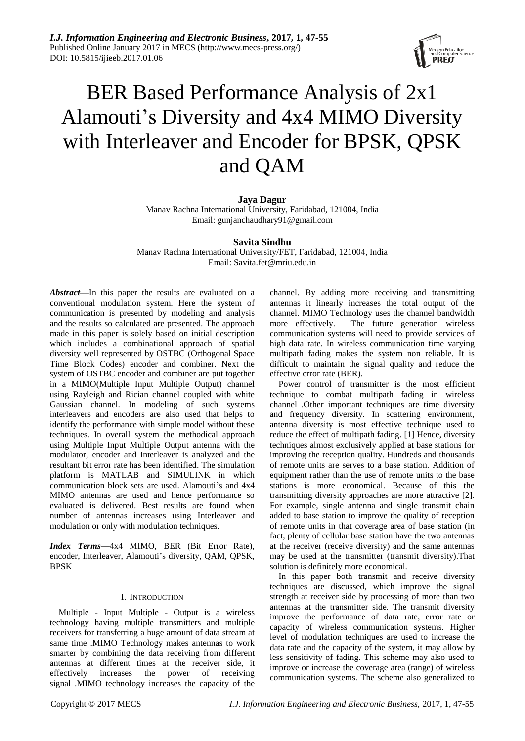

# BER Based Performance Analysis of 2x1 Alamouti's Diversity and 4x4 MIMO Diversity with Interleaver and Encoder for BPSK, QPSK and QAM

# **Jaya Dagur**

Manav Rachna International University, Faridabad, 121004, India Email: gunjanchaudhary91@gmail.com

# **Savita Sindhu**

Manav Rachna International University/FET, Faridabad, 121004, India Email: Savita.fet@mriu.edu.in

*Abstract***—**In this paper the results are evaluated on a conventional modulation system. Here the system of communication is presented by modeling and analysis and the results so calculated are presented. The approach made in this paper is solely based on initial description which includes a combinational approach of spatial diversity well represented by OSTBC (Orthogonal Space Time Block Codes) encoder and combiner. Next the system of OSTBC encoder and combiner are put together in a MIMO(Multiple Input Multiple Output) channel using Rayleigh and Rician channel coupled with white Gaussian channel. In modeling of such systems interleavers and encoders are also used that helps to identify the performance with simple model without these techniques. In overall system the methodical approach using Multiple Input Multiple Output antenna with the modulator, encoder and interleaver is analyzed and the resultant bit error rate has been identified. The simulation platform is MATLAB and SIMULINK in which communication block sets are used. Alamouti's and 4x4 MIMO antennas are used and hence performance so evaluated is delivered. Best results are found when number of antennas increases using Interleaver and modulation or only with modulation techniques.

*Index Terms***—**4x4 MIMO, BER (Bit Error Rate), encoder, Interleaver, Alamouti's diversity, QAM, QPSK, BPSK

# I. INTRODUCTION

Multiple - Input Multiple - Output is a wireless technology having multiple transmitters and multiple receivers for transferring a huge amount of data stream at same time .MIMO Technology makes antennas to work smarter by combining the data receiving from different antennas at different times at the receiver side, it effectively increases the power of receiving signal .MIMO technology increases the capacity of the

channel. By adding more receiving and transmitting antennas it linearly increases the total output of the channel. MIMO Technology uses the channel bandwidth more effectively. The future generation wireless communication systems will need to provide services of high data rate. In wireless communication time varying multipath fading makes the system non reliable. It is difficult to maintain the signal quality and reduce the effective error rate (BER).

Power control of transmitter is the most efficient technique to combat multipath fading in wireless channel .Other important techniques are time diversity and frequency diversity. In scattering environment, antenna diversity is most effective technique used to reduce the effect of multipath fading. [1] Hence, diversity techniques almost exclusively applied at base stations for improving the reception quality. Hundreds and thousands of remote units are serves to a base station. Addition of equipment rather than the use of remote units to the base stations is more economical. Because of this the transmitting diversity approaches are more attractive [2]. For example, single antenna and single transmit chain added to base station to improve the quality of reception of remote units in that coverage area of base station (in fact, plenty of cellular base station have the two antennas at the receiver (receive diversity) and the same antennas may be used at the transmitter (transmit diversity).That solution is definitely more economical.

In this paper both transmit and receive diversity techniques are discussed, which improve the signal strength at receiver side by processing of more than two antennas at the transmitter side. The transmit diversity improve the performance of data rate, error rate or capacity of wireless communication systems. Higher level of modulation techniques are used to increase the data rate and the capacity of the system, it may allow by less sensitivity of fading. This scheme may also used to improve or increase the coverage area (range) of wireless communication systems. The scheme also generalized to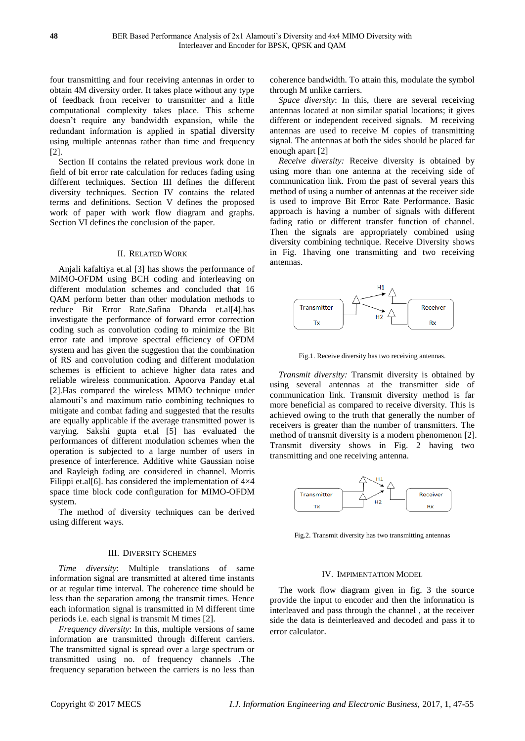four transmitting and four receiving antennas in order to obtain 4M diversity order. It takes place without any type of feedback from receiver to transmitter and a little computational complexity takes place. This scheme doesn't require any bandwidth expansion, while the redundant information is applied in spatial diversity using multiple antennas rather than time and frequency [2].

Section II contains the related previous work done in field of bit error rate calculation for reduces fading using different techniques. Section III defines the different diversity techniques. Section IV contains the related terms and definitions. Section V defines the proposed work of paper with work flow diagram and graphs. Section VI defines the conclusion of the paper.

## II. RELATED WORK

Anjali kafaltiya et.al [3] has shows the performance of MIMO-OFDM using BCH coding and interleaving on different modulation schemes and concluded that 16 QAM perform better than other modulation methods to reduce Bit Error Rate.Safina Dhanda et.al[4].has investigate the performance of forward error correction coding such as convolution coding to minimize the Bit error rate and improve spectral efficiency of OFDM system and has given the suggestion that the combination of RS and convolution coding and different modulation schemes is efficient to achieve higher data rates and reliable wireless communication. Apoorva Panday et.al [2].Has compared the wireless MIMO technique under alamouti's and maximum ratio combining techniques to mitigate and combat fading and suggested that the results are equally applicable if the average transmitted power is varying. Sakshi gupta et.al [5] has evaluated the performances of different modulation schemes when the operation is subjected to a large number of users in presence of interference. Additive white Gaussian noise and Rayleigh fading are considered in channel. Morris Filippi et.al[6]. has considered the implementation of  $4 \times 4$ space time block code configuration for MIMO-OFDM system.

The method of diversity techniques can be derived using different ways.

## III. DIVERSITY SCHEMES

*Time diversity*: Multiple translations of same information signal are transmitted at altered time instants or at regular time interval. The coherence time should be less than the separation among the transmit times. Hence each information signal is transmitted in M different time periods i.e. each signal is transmit M times [2].

*Frequency diversity*: In this, multiple versions of same information are transmitted through different carriers. The transmitted signal is spread over a large spectrum or transmitted using no. of frequency channels .The frequency separation between the carriers is no less than coherence bandwidth. To attain this, modulate the symbol through M unlike carriers.

*Space diversity*: In this, there are several receiving antennas located at non similar spatial locations; it gives different or independent received signals. M receiving antennas are used to receive M copies of transmitting signal. The antennas at both the sides should be placed far enough apart [2]

*Receive diversity:* Receive diversity is obtained by using more than one antenna at the receiving side of communication link. From the past of several years this method of using a number of antennas at the receiver side is used to improve Bit Error Rate Performance. Basic approach is having a number of signals with different fading ratio or different transfer function of channel. Then the signals are appropriately combined using diversity combining technique. Receive Diversity shows in Fig. 1having one transmitting and two receiving antennas.



Fig.1. Receive diversity has two receiving antennas.

*Transmit diversity:* Transmit diversity is obtained by using several antennas at the transmitter side of communication link. Transmit diversity method is far more beneficial as compared to receive diversity. This is achieved owing to the truth that generally the number of receivers is greater than the number of transmitters. The method of transmit diversity is a modern phenomenon [2]. Transmit diversity shows in Fig. 2 having two transmitting and one receiving antenna.



Fig.2. Transmit diversity has two transmitting antennas

#### IV. IMPIMENTATION MODEL

The work flow diagram given in fig. 3 the source provide the input to encoder and then the information is interleaved and pass through the channel , at the receiver side the data is deinterleaved and decoded and pass it to error calculator.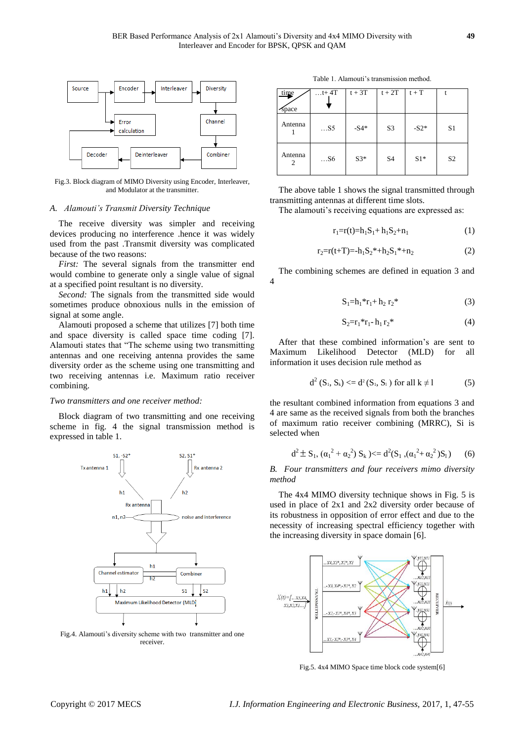

Fig.3. Block diagram of MIMO Diversity using Encoder, Interleaver, and Modulator at the transmitter.

## *A. Alamouti's Transmit Diversity Technique*

The receive diversity was simpler and receiving devices producing no interference .hence it was widely used from the past .Transmit diversity was complicated because of the two reasons:

*First:* The several signals from the transmitter end would combine to generate only a single value of signal at a specified point resultant is no diversity.

*Second:* The signals from the transmitted side would sometimes produce obnoxious nulls in the emission of signal at some angle.

Alamouti proposed a scheme that utilizes [7] both time and space diversity is called space time coding [7]. Alamouti states that "The scheme using two transmitting antennas and one receiving antenna provides the same diversity order as the scheme using one transmitting and two receiving antennas i.e. Maximum ratio receiver combining.

# *Two transmitters and one receiver method:*

Block diagram of two transmitting and one receiving scheme in fig. 4 the signal transmission method is expressed in table 1.



Fig.4. Alamouti's diversity scheme with two transmitter and one receiver.

Table 1. Alamouti's transmission method.

| time<br><b>Space</b> | $\dots$ t+4T | $t + 3T$ | $t + 2T$       | $t + T$ |                |
|----------------------|--------------|----------|----------------|---------|----------------|
| Antenna              | $\dots$ S5   | $-S4*$   | S <sub>3</sub> | $-S2*$  | S <sub>1</sub> |
| Antenna<br>2         | S6           | $S3*$    | S <sub>4</sub> | $S1*$   | S <sub>2</sub> |

The above table 1 shows the signal transmitted through transmitting antennas at different time slots.

The alamouti's receiving equations are expressed as:

$$
r_1 = r(t) = h_1 S_1 + h_1 S_2 + n_1 \tag{1}
$$

$$
r_2 = r(t+T) = -h_1 S_2^* + h_2 S_1^* + n_2 \tag{2}
$$

The combining schemes are defined in equation 3 and 4

$$
S_1 = h_1 * r_1 + h_2 r_2 * \tag{3}
$$

$$
S_2 = r_1 * r_1 - h_1 r_2 * \tag{4}
$$

After that these combined information's are sent to Maximum Likelihood Detector (MLD) for all information it uses decision rule method as

$$
d^{2} (S_{1}, S_{k}) \leq d^{2} (S_{1}, S_{1}) \text{ for all } k \neq 1 \tag{5}
$$

the resultant combined information from equations 3 and 4 are same as the received signals from both the branches of maximum ratio receiver combining (MRRC), Si is selected when

$$
d^{2} \pm S_{1}, (\alpha_{1}^{2} + \alpha_{2}^{2}) S_{k}) \leq d^{2}(S_{1}, (\alpha_{1}^{2} + \alpha_{2}^{2}) S_{1})
$$
 (6)

*B. Four transmitters and four receivers mimo diversity method*

The 4x4 MIMO diversity technique shows in Fig. 5 is used in place of 2x1 and 2x2 diversity order because of its robustness in opposition of error effect and due to the necessity of increasing spectral efficiency together with the increasing diversity in space domain [6].



Fig.5. 4x4 MIMO Space time block code system[6]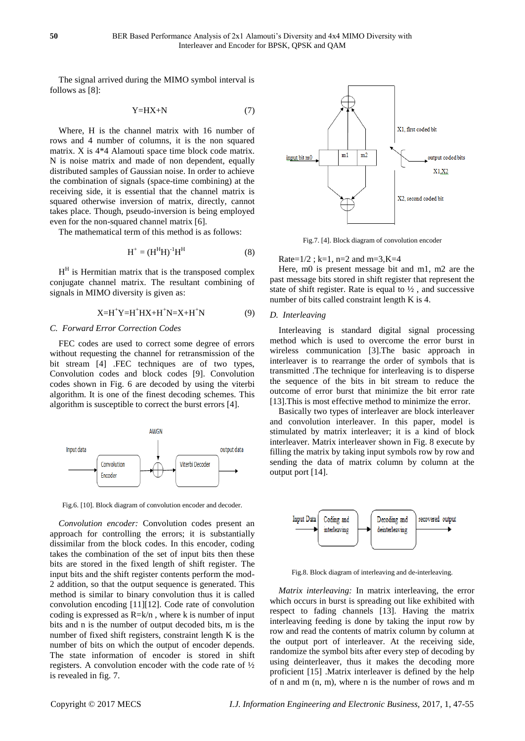The signal arrived during the MIMO symbol interval is follows as [8]:

$$
Y=HX+N
$$
 (7)

Where, H is the channel matrix with 16 number of rows and 4 number of columns, it is the non squared matrix. X is 4\*4 Alamouti space time block code matrix. N is noise matrix and made of non dependent, equally distributed samples of Gaussian noise. In order to achieve the combination of signals (space-time combining) at the receiving side, it is essential that the channel matrix is squared otherwise inversion of matrix, directly, cannot takes place. Though, pseudo-inversion is being employed even for the non-squared channel matrix [6].

The mathematical term of this method is as follows:

$$
\mathbf{H}^+ = (\mathbf{H}^{\mathrm{H}} \mathbf{H})^{-1} \mathbf{H}^{\mathrm{H}} \tag{8}
$$

 $H<sup>H</sup>$  is Hermitian matrix that is the transposed complex conjugate channel matrix. The resultant combining of signals in MIMO diversity is given as:

$$
X=H^{+}Y=H^{+}HX+H^{+}N=X+H^{+}N
$$
 (9)

#### *C. Forward Error Correction Codes*

FEC codes are used to correct some degree of errors without requesting the channel for retransmission of the bit stream [4] .FEC techniques are of two types, Convolution codes and block codes [9]. Convolution codes shown in Fig. 6 are decoded by using the viterbi algorithm. It is one of the finest decoding schemes. This algorithm is susceptible to correct the burst errors [4].



Fig.6. [10]. Block diagram of convolution encoder and decoder.

*Convolution encoder:* Convolution codes present an approach for controlling the errors; it is substantially dissimilar from the block codes. In this encoder, coding takes the combination of the set of input bits then these bits are stored in the fixed length of shift register. The input bits and the shift register contents perform the mod-2 addition, so that the output sequence is generated. This method is similar to binary convolution thus it is called convolution encoding [11][12]. Code rate of convolution coding is expressed as  $R=k/n$ , where k is number of input bits and n is the number of output decoded bits, m is the number of fixed shift registers, constraint length K is the number of bits on which the output of encoder depends. The state information of encoder is stored in shift registers. A convolution encoder with the code rate of ½ is revealed in fig. 7.



Fig.7. [4]. Block diagram of convolution encoder

Rate= $1/2$ ; k=1, n=2 and m=3, K=4

Here, m0 is present message bit and m1, m2 are the past message bits stored in shift register that represent the state of shift register. Rate is equal to  $\frac{1}{2}$ , and successive number of bits called constraint length K is 4.

## *D. Interleaving*

Interleaving is standard digital signal processing method which is used to overcome the error burst in wireless communication [3].The basic approach in interleaver is to rearrange the order of symbols that is transmitted .The technique for interleaving is to disperse the sequence of the bits in bit stream to reduce the outcome of error burst that minimize the bit error rate [13].This is most effective method to minimize the error.

Basically two types of interleaver are block interleaver and convolution interleaver. In this paper, model is stimulated by matrix interleaver; it is a kind of block interleaver. Matrix interleaver shown in Fig. 8 execute by filling the matrix by taking input symbols row by row and sending the data of matrix column by column at the output port [14].



Fig.8. Block diagram of interleaving and de-interleaving.

*Matrix interleaving:* In matrix interleaving, the error which occurs in burst is spreading out like exhibited with respect to fading channels [13]. Having the matrix interleaving feeding is done by taking the input row by row and read the contents of matrix column by column at the output port of interleaver. At the receiving side, randomize the symbol bits after every step of decoding by using deinterleaver, thus it makes the decoding more proficient [15] .Matrix interleaver is defined by the help of n and m (n, m), where n is the number of rows and m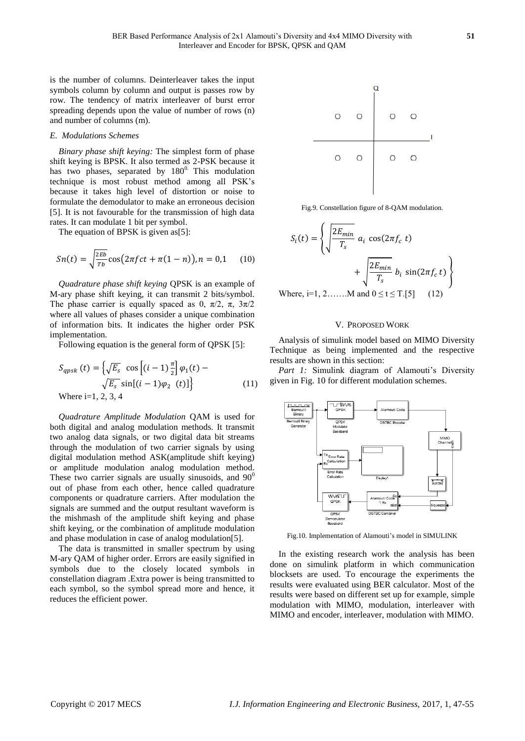is the number of columns. Deinterleaver takes the input symbols column by column and output is passes row by row. The tendency of matrix interleaver of burst error spreading depends upon the value of number of rows (n) and number of columns (m).

## *E. Modulations Schemes*

*Binary phase shift keying:* The simplest form of phase shift keying is BPSK. It also termed as 2-PSK because it has two phases, separated by  $180^\circ$ . This modulation technique is most robust method among all PSK's because it takes high level of distortion or noise to formulate the demodulator to make an erroneous decision [5]. It is not favourable for the transmission of high data rates. It can modulate 1 bit per symbol.

The equation of BPSK is given as[5]:

$$
Sn(t) = \sqrt{\frac{2Eb}{Tb}} \cos(2\pi fct + \pi(1 - n)), n = 0,1 \quad (10)
$$

*Quadrature phase shift keying* QPSK is an example of M-ary phase shift keying, it can transmit 2 bits/symbol. The phase carrier is equally spaced as 0,  $\pi/2$ ,  $\pi$ ,  $3\pi/2$ where all values of phases consider a unique combination of information bits. It indicates the higher order PSK implementation.

Following equation is the general form of QPSK [5]:

$$
S_{qpsk}(t) = \left\{ \sqrt{E_s} \cos \left[ (i-1) \frac{\pi}{2} \right] \varphi_1(t) - \sqrt{E_s} \sin \left[ (i-1) \varphi_2(t) \right] \right\}
$$
\nWhere i=1, 2, 3, 4

\n(11)

*Quadrature Amplitude Modulation* QAM is used for both digital and analog modulation methods. It transmit two analog data signals, or two digital data bit streams through the modulation of two carrier signals by using digital modulation method ASK(amplitude shift keying) or amplitude modulation analog modulation method. These two carrier signals are usually sinusoids, and  $90^0$ out of phase from each other, hence called quadrature components or quadrature carriers. After modulation the signals are summed and the output resultant waveform is the mishmash of the amplitude shift keying and phase shift keying, or the combination of amplitude modulation and phase modulation in case of analog modulation[5].

The data is transmitted in smaller spectrum by using M-ary QAM of higher order. Errors are easily signified in symbols due to the closely located symbols in constellation diagram .Extra power is being transmitted to each symbol, so the symbol spread more and hence, it reduces the efficient power.



Fig.9. Constellation figure of 8-QAM modulation.

$$
S_i(t) = \left\{ \sqrt{\frac{2E_{min}}{T_s}} a_i \cos(2\pi f_c t) + \sqrt{\frac{2E_{min}}{T_s}} b_i \sin(2\pi f_c t) \right\}
$$

Where, i=1, 2…….M and  $0 \le t \le T$ .[5] (12)

# V. PROPOSED WORK

Analysis of simulink model based on MIMO Diversity Technique as being implemented and the respective results are shown in this section:

Part 1: Simulink diagram of Alamouti's Diversity given in Fig. 10 for different modulation schemes.



Fig.10. Implementation of Alamouti's model in SIMULINK

In the existing research work the analysis has been done on simulink platform in which communication blocksets are used. To encourage the experiments the results were evaluated using BER calculator. Most of the results were based on different set up for example, simple modulation with MIMO, modulation, interleaver with MIMO and encoder, interleaver, modulation with MIMO.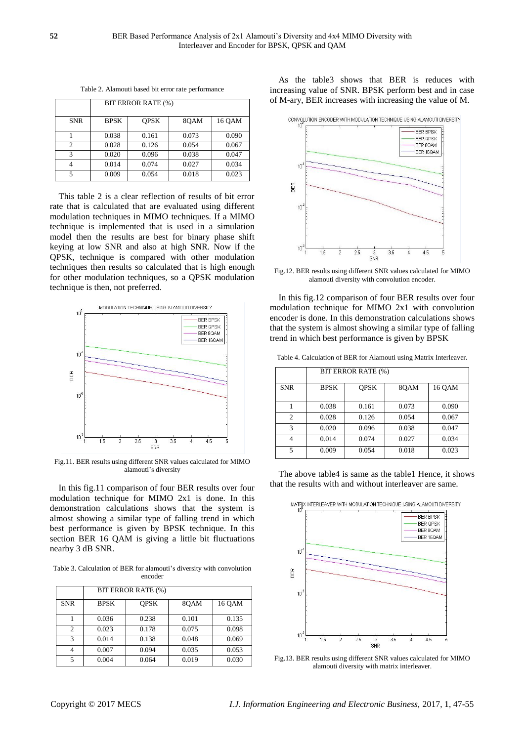|            |             | BIT ERROR RATE (%) |       |        |
|------------|-------------|--------------------|-------|--------|
| <b>SNR</b> | <b>BPSK</b> | <b>OPSK</b>        | 80AM  | 16 OAM |
|            | 0.038       | 0.161              | 0.073 | 0.090  |
| C          | 0.028       | 0.126              | 0.054 | 0.067  |
| 3          | 0.020       | 0.096              | 0.038 | 0.047  |
|            | 0.014       | 0.074              | 0.027 | 0.034  |
| 5          | 0.009       | 0.054              | 0.018 | 0.023  |

Table 2. Alamouti based bit error rate performance

This table 2 is a clear reflection of results of bit error rate that is calculated that are evaluated using different modulation techniques in MIMO techniques. If a MIMO technique is implemented that is used in a simulation model then the results are best for binary phase shift keying at low SNR and also at high SNR. Now if the QPSK, technique is compared with other modulation techniques then results so calculated that is high enough for other modulation techniques, so a QPSK modulation technique is then, not preferred.



Fig.11. BER results using different SNR values calculated for MIMO alamouti's diversity

In this fig.11 comparison of four BER results over four modulation technique for MIMO 2x1 is done. In this demonstration calculations shows that the system is almost showing a similar type of falling trend in which best performance is given by BPSK technique. In this section BER 16 QAM is giving a little bit fluctuations nearby 3 dB SNR.

Table 3. Calculation of BER for alamouti's diversity with convolution encoder

|                | BIT ERROR RATE (%) |             |       |        |
|----------------|--------------------|-------------|-------|--------|
| <b>SNR</b>     | <b>BPSK</b>        | <b>OPSK</b> | 80AM  | 16 OAM |
|                | 0.036              | 0.238       | 0.101 | 0.135  |
| $\overline{c}$ | 0.023              | 0.178       | 0.075 | 0.098  |
| 3              | 0.014              | 0.138       | 0.048 | 0.069  |
| 4              | 0.007              | 0.094       | 0.035 | 0.053  |
| 5              | 0.004              | 0.064       | 0.019 | 0.030  |

As the table3 shows that BER is reduces with increasing value of SNR. BPSK perform best and in case of M-ary, BER increases with increasing the value of M.



Fig.12. BER results using different SNR values calculated for MIMO alamouti diversity with convolution encoder.

In this fig.12 comparison of four BER results over four modulation technique for MIMO 2x1 with convolution encoder is done. In this demonstration calculations shows that the system is almost showing a similar type of falling trend in which best performance is given by BPSK

Table 4. Calculation of BER for Alamouti using Matrix Interleaver.

|                | BIT ERROR RATE (%) |             |       |        |
|----------------|--------------------|-------------|-------|--------|
| <b>SNR</b>     | <b>BPSK</b>        | <b>OPSK</b> | 80AM  | 16 OAM |
|                | 0.038              | 0.161       | 0.073 | 0.090  |
| $\overline{c}$ | 0.028              | 0.126       | 0.054 | 0.067  |
| 3              | 0.020              | 0.096       | 0.038 | 0.047  |
| 4              | 0.014              | 0.074       | 0.027 | 0.034  |
| 5              | 0.009              | 0.054       | 0.018 | 0.023  |

The above table4 is same as the table1 Hence, it shows that the results with and without interleaver are same.





Fig.13. BER results using different SNR values calculated for MIMO alamouti diversity with matrix interleaver.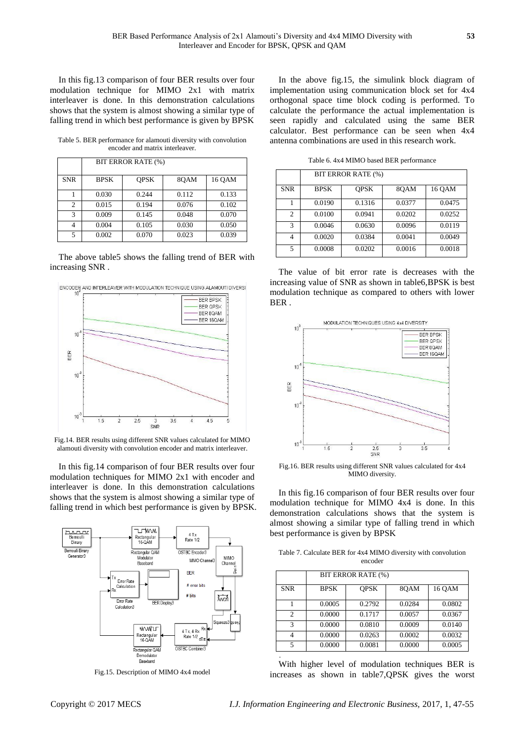In this fig.13 comparison of four BER results over four modulation technique for MIMO 2x1 with matrix interleaver is done. In this demonstration calculations shows that the system is almost showing a similar type of falling trend in which best performance is given by BPSK

Table 5. BER performance for alamouti diversity with convolution encoder and matrix interleaver.

|                |             | BIT ERROR RATE (%) |       |        |
|----------------|-------------|--------------------|-------|--------|
| <b>SNR</b>     | <b>BPSK</b> | <b>OPSK</b>        | 80AM  | 16 OAM |
|                | 0.030       | 0.244              | 0.112 | 0.133  |
| $\overline{c}$ | 0.015       | 0.194              | 0.076 | 0.102  |
| 3              | 0.009       | 0.145              | 0.048 | 0.070  |
| 4              | 0.004       | 0.105              | 0.030 | 0.050  |
| 5              | 0.002       | 0.070              | 0.023 | 0.039  |

The above table5 shows the falling trend of BER with increasing SNR .



Fig.14. BER results using different SNR values calculated for MIMO alamouti diversity with convolution encoder and matrix interleaver.

In this fig.14 comparison of four BER results over four modulation techniques for MIMO 2x1 with encoder and interleaver is done. In this demonstration calculations shows that the system is almost showing a similar type of falling trend in which best performance is given by BPSK.



Fig.15. Description of MIMO 4x4 model

In the above fig.15, the simulink block diagram of implementation using communication block set for 4x4 orthogonal space time block coding is performed. To calculate the performance the actual implementation is seen rapidly and calculated using the same BER calculator. Best performance can be seen when 4x4 antenna combinations are used in this research work.

Table 6. 4x4 MIMO based BER performance

|                | <b>BIT ERROR RATE (%)</b> |             |        |        |  |
|----------------|---------------------------|-------------|--------|--------|--|
| <b>SNR</b>     | <b>BPSK</b>               | <b>OPSK</b> | 80AM   | 16 QAM |  |
|                | 0.0190                    | 0.1316      | 0.0377 | 0.0475 |  |
| $\overline{c}$ | 0.0100                    | 0.0941      | 0.0202 | 0.0252 |  |
| 3              | 0.0046                    | 0.0630      | 0.0096 | 0.0119 |  |
| 4              | 0.0020                    | 0.0384      | 0.0041 | 0.0049 |  |
| 5              | 0.0008                    | 0.0202      | 0.0016 | 0.0018 |  |

The value of bit error rate is decreases with the increasing value of SNR as shown in table6,BPSK is best modulation technique as compared to others with lower BER .



Fig.16. BER results using different SNR values calculated for 4x4 MIMO diversity.

In this fig.16 comparison of four BER results over four modulation technique for MIMO 4x4 is done. In this demonstration calculations shows that the system is almost showing a similar type of falling trend in which best performance is given by BPSK

Table 7. Calculate BER for 4x4 MIMO diversity with convolution encoder

|                | BIT ERROR RATE (%) |             |        |        |
|----------------|--------------------|-------------|--------|--------|
|                |                    |             |        |        |
| <b>SNR</b>     | <b>BPSK</b>        | <b>OPSK</b> | 80AM   | 16 OAM |
|                |                    |             |        |        |
|                | 0.0005             | 0.2792      | 0.0284 | 0.0802 |
|                |                    |             |        |        |
| $\overline{c}$ | 0.0000             | 0.1717      | 0.0057 | 0.0367 |
| 3              | 0.0000             | 0.0810      | 0.0009 | 0.0140 |
| 4              | 0.0000             | 0.0263      | 0.0002 | 0.0032 |
|                |                    |             |        |        |
| 5              | 0.0000             | 0.0081      | 0.0000 | 0.0005 |

With higher level of modulation techniques BER is increases as shown in table7,QPSK gives the worst

.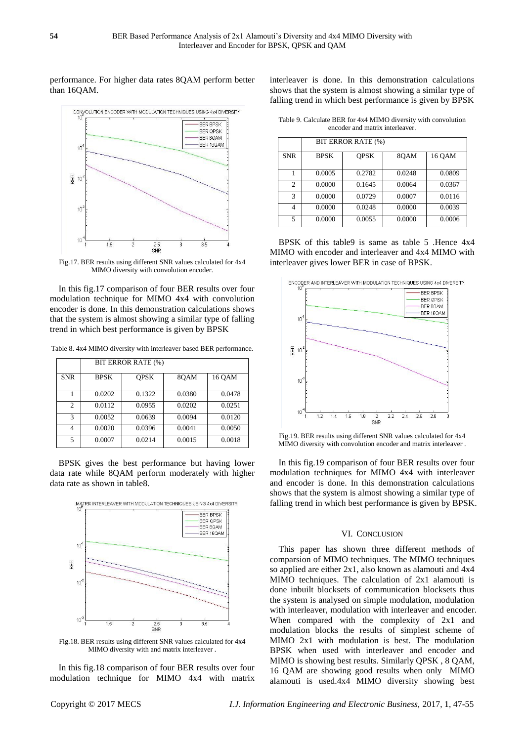# performance. For higher data rates 8QAM perform better than 16QAM.



Fig.17. BER results using different SNR values calculated for 4x4 MIMO diversity with convolution encoder.

In this fig.17 comparison of four BER results over four modulation technique for MIMO 4x4 with convolution encoder is done. In this demonstration calculations shows that the system is almost showing a similar type of falling trend in which best performance is given by BPSK

Table 8. 4x4 MIMO diversity with interleaver based BER performance.

|                | BIT ERROR RATE (%) |             |        |        |  |
|----------------|--------------------|-------------|--------|--------|--|
| <b>SNR</b>     | <b>BPSK</b>        | <b>OPSK</b> | 80AM   | 16 OAM |  |
|                | 0.0202             | 0.1322      | 0.0380 | 0.0478 |  |
| $\overline{c}$ | 0.0112             | 0.0955      | 0.0202 | 0.0251 |  |
| 3              | 0.0052             | 0.0639      | 0.0094 | 0.0120 |  |
| 4              | 0.0020             | 0.0396      | 0.0041 | 0.0050 |  |
| 5              | 0.0007             | 0.0214      | 0.0015 | 0.0018 |  |

BPSK gives the best performance but having lower data rate while 8QAM perform moderately with higher data rate as shown in table8.



Fig.18. BER results using different SNR values calculated for 4x4 MIMO diversity with and matrix interleaver .

In this fig.18 comparison of four BER results over four modulation technique for MIMO 4x4 with matrix interleaver is done. In this demonstration calculations shows that the system is almost showing a similar type of falling trend in which best performance is given by BPSK

Table 9. Calculate BER for 4x4 MIMO diversity with convolution encoder and matrix interleaver.

|            | BIT ERROR RATE (%) |             |        |        |  |
|------------|--------------------|-------------|--------|--------|--|
| <b>SNR</b> | <b>BPSK</b>        | <b>OPSK</b> | 80AM   | 16 OAM |  |
|            | 0.0005             | 0.2782      | 0.0248 | 0.0809 |  |
| 2          | 0.0000             | 0.1645      | 0.0064 | 0.0367 |  |
| 3          | 0.0000             | 0.0729      | 0.0007 | 0.0116 |  |
| 4          | 0.0000             | 0.0248      | 0.0000 | 0.0039 |  |
| 5          | 0.0000             | 0.0055      | 0.0000 | 0.0006 |  |

BPSK of this table9 is same as table 5 .Hence 4x4 MIMO with encoder and interleaver and 4x4 MIMO with interleaver gives lower BER in case of BPSK.



Fig.19. BER results using different SNR values calculated for 4x4 MIMO diversity with convolution encoder and matrix interleaver .

In this fig.19 comparison of four BER results over four modulation techniques for MIMO 4x4 with interleaver and encoder is done. In this demonstration calculations shows that the system is almost showing a similar type of falling trend in which best performance is given by BPSK.

# VI. CONCLUSION

This paper has shown three different methods of comparsion of MIMO techniques. The MIMO techniques so applied are either 2x1, also known as alamouti and 4x4 MIMO techniques. The calculation of 2x1 alamouti is done inbuilt blocksets of communication blocksets thus the system is analysed on simple modulation, modulation with interleaver, modulation with interleaver and encoder. When compared with the complexity of 2x1 and modulation blocks the results of simplest scheme of MIMO 2x1 with modulation is best. The modulation BPSK when used with interleaver and encoder and MIMO is showing best results. Similarly QPSK , 8 QAM, 16 QAM are showing good results when only MIMO alamouti is used.4x4 MIMO diversity showing best